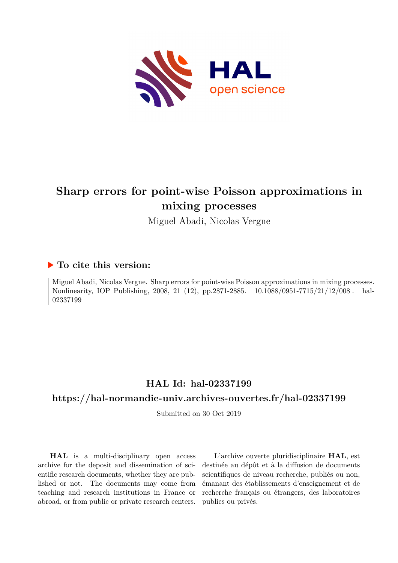

# **Sharp errors for point-wise Poisson approximations in mixing processes**

Miguel Abadi, Nicolas Vergne

# **To cite this version:**

Miguel Abadi, Nicolas Vergne. Sharp errors for point-wise Poisson approximations in mixing processes. Nonlinearity, IOP Publishing, 2008, 21 (12), pp.2871-2885. 10.1088/0951-7715/21/12/008. hal-02337199ff

# **HAL Id: hal-02337199**

# **<https://hal-normandie-univ.archives-ouvertes.fr/hal-02337199>**

Submitted on 30 Oct 2019

**HAL** is a multi-disciplinary open access archive for the deposit and dissemination of scientific research documents, whether they are published or not. The documents may come from teaching and research institutions in France or abroad, or from public or private research centers.

L'archive ouverte pluridisciplinaire **HAL**, est destinée au dépôt et à la diffusion de documents scientifiques de niveau recherche, publiés ou non, émanant des établissements d'enseignement et de recherche français ou étrangers, des laboratoires publics ou privés.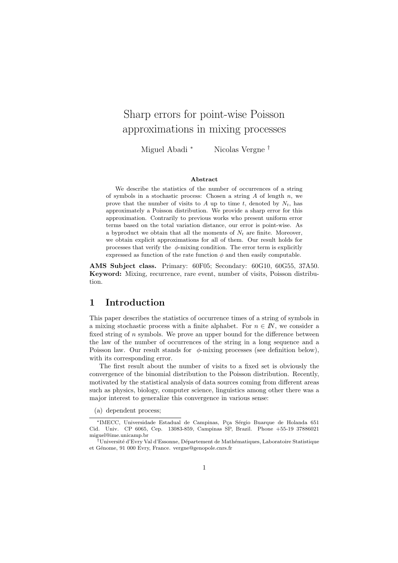# Sharp errors for point-wise Poisson approximations in mixing processes

Miguel Abadi <sup>∗</sup> Nicolas Vergne †

#### Abstract

We describe the statistics of the number of occurrences of a string of symbols in a stochastic process: Chosen a string  $A$  of length  $n$ , we prove that the number of visits to A up to time t, denoted by  $N_t$ , has approximately a Poisson distribution. We provide a sharp error for this approximation. Contrarily to previous works who present uniform error terms based on the total variation distance, our error is point-wise. As a byproduct we obtain that all the moments of  $N_t$  are finite. Moreover, we obtain explicit approximations for all of them. Our result holds for processes that verify the  $\phi$ -mixing condition. The error term is explicitly expressed as function of the rate function  $\phi$  and then easily computable.

AMS Subject class. Primary: 60F05; Secondary: 60G10, 60G55, 37A50. Keyword: Mixing, recurrence, rare event, number of visits, Poisson distribution.

## 1 Introduction

This paper describes the statistics of occurrence times of a string of symbols in a mixing stochastic process with a finite alphabet. For  $n \in \mathbb{N}$ , we consider a fixed string of  $n$  symbols. We prove an upper bound for the difference between the law of the number of occurrences of the string in a long sequence and a Poisson law. Our result stands for  $\phi$ -mixing processes (see definition below), with its corresponding error.

The first result about the number of visits to a fixed set is obviously the convergence of the binomial distribution to the Poisson distribution. Recently, motivated by the statistical analysis of data sources coming from different areas such as physics, biology, computer science, linguistics among other there was a major interest to generalize this convergence in various sense:

(a) dependent process;

<sup>\*</sup>IMECC, Universidade Estadual de Campinas, Pça Sérgio Buarque de Holanda 651 Cid. Univ. CP 6065, Cep. 13083-859, Campinas SP, Brazil. Phone +55-19 37886021 miguel@ime.unicamp.br

<sup>†</sup>Universit´e d'Evry Val d'Essonne, D´epartement de Math´ematiques, Laboratoire Statistique et Génome, 91 000 Evry, France. vergne@genopole.cnrs.fr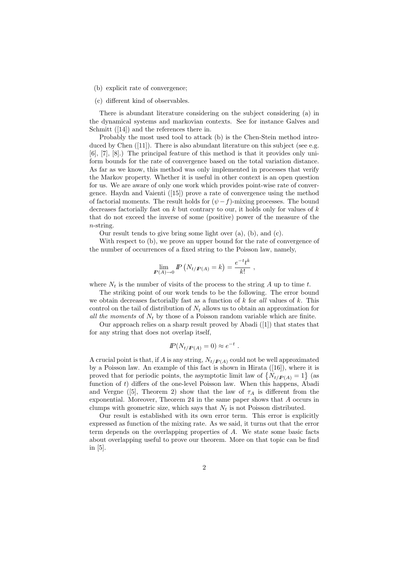(b) explicit rate of convergence;

#### (c) different kind of observables.

There is abundant literature considering on the subject considering (a) in the dynamical systems and markovian contexts. See for instance Galves and Schmitt  $(14)$  and the references there in.

Probably the most used tool to attack (b) is the Chen-Stein method introduced by Chen ([11]). There is also abundant literature on this subject (see e.g. [6], [7], [8].) The principal feature of this method is that it provides only uniform bounds for the rate of convergence based on the total variation distance. As far as we know, this method was only implemented in processes that verify the Markov property. Whether it is useful in other context is an open question for us. We are aware of only one work which provides point-wise rate of convergence. Haydn and Vaienti ([15]) prove a rate of convergence using the method of factorial moments. The result holds for  $(\psi - f)$ -mixing processes. The bound decreases factorially fast on  $k$  but contrary to our, it holds only for values of  $k$ that do not exceed the inverse of some (positive) power of the measure of the n-string.

Our result tends to give bring some light over (a), (b), and (c).

With respect to (b), we prove an upper bound for the rate of convergence of the number of occurrences of a fixed string to the Poisson law, namely,

$$
\lim_{P(A)\to 0} P\left(N_{t/P(A)} = k\right) = \frac{e^{-t}t^k}{k!},
$$

where  $N_t$  is the number of visits of the process to the string A up to time t.

The striking point of our work tends to be the following. The error bound we obtain decreases factorially fast as a function of  $k$  for all values of  $k$ . This control on the tail of distribution of  $N_t$  allows us to obtain an approximation for all the moments of  $N_t$  by those of a Poisson random variable which are finite.

Our approach relies on a sharp result proved by Abadi ([1]) that states that for any string that does not overlap itself,

$$
I\!\!P(N_{t/P(A)} = 0) \approx e^{-t}.
$$

A crucial point is that, if A is any string,  $N_{t/(\mathbf{P}(A))}$  could not be well approximated by a Poisson law. An example of this fact is shown in Hirata ([16]), where it is proved that for periodic points, the asymptotic limit law of  $\{N_{t/P(A)}=1\}$  (as function of t) differs of the one-level Poisson law. When this happens, Abadi and Vergne ([5], Theorem 2) show that the law of  $\tau_A$  is different from the exponential. Moreover, Theorem 24 in the same paper shows that A occurs in clumps with geometric size, which says that  $N_t$  is not Poisson distributed.

Our result is established with its own error term. This error is explicitly expressed as function of the mixing rate. As we said, it turns out that the error term depends on the overlapping properties of A. We state some basic facts about overlapping useful to prove our theorem. More on that topic can be find in [5].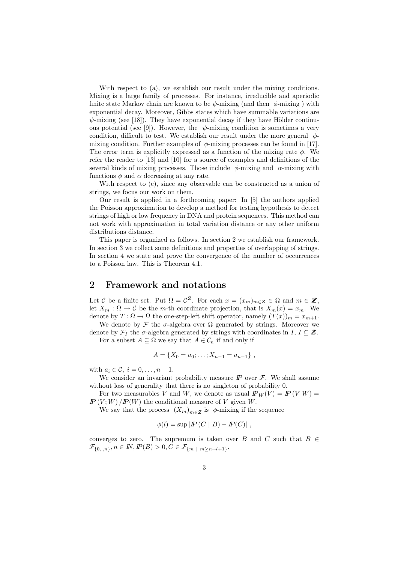With respect to (a), we establish our result under the mixing conditions. Mixing is a large family of processes. For instance, irreducible and aperiodic finite state Markov chain are known to be  $\psi$ -mixing (and then  $\phi$ -mixing) with exponential decay. Moreover, Gibbs states which have summable variations are  $\psi$ -mixing (see [18]). They have exponential decay if they have Hölder continuous potential (see [9]). However, the  $\psi$ -mixing condition is sometimes a very condition, difficult to test. We establish our result under the more general  $\phi$ mixing condition. Further examples of  $\phi$ -mixing processes can be found in [17]. The error term is explicitly expressed as a function of the mixing rate  $\phi$ . We refer the reader to [13] and [10] for a source of examples and definitions of the several kinds of mixing processes. Those include  $\phi$ -mixing and  $\alpha$ -mixing with functions  $\phi$  and  $\alpha$  decreasing at any rate.

With respect to  $(c)$ , since any observable can be constructed as a union of strings, we focus our work on them.

Our result is applied in a forthcoming paper: In [5] the authors applied the Poisson approximation to develop a method for testing hypothesis to detect strings of high or low frequency in DNA and protein sequences. This method can not work with approximation in total variation distance or any other uniform distributions distance.

This paper is organized as follows. In section 2 we establish our framework. In section 3 we collect some definitions and properties of overlapping of strings. In section 4 we state and prove the convergence of the number of occurrences to a Poisson law. This is Theorem 4.1.

### 2 Framework and notations

Let C be a finite set. Put  $\Omega = \mathcal{C}^Z$ . For each  $x = (x_m)_{m \in \mathbb{Z}} \in \Omega$  and  $m \in \mathbb{Z}$ , let  $X_m : \Omega \to \mathcal{C}$  be the m-th coordinate projection, that is  $X_m(x) = x_m$ . We denote by  $T : \Omega \to \Omega$  the one-step-left shift operator, namely  $(T(x))_m = x_{m+1}$ .

We denote by  $\mathcal F$  the  $\sigma$ -algebra over  $\Omega$  generated by strings. Moreover we denote by  $\mathcal{F}_I$  the  $\sigma$ -algebra generated by strings with coordinates in  $I, I \subseteq \mathbb{Z}$ . For a subset  $A \subseteq \Omega$  we say that  $A \in \mathcal{C}_n$  if and only if

$$
\mathcal{L}^{\mathcal{L}}(\mathcal{L}^{\mathcal{L}}(\mathcal{L}^{\mathcal{L}}(\mathcal{L}^{\mathcal{L}}(\mathcal{L}^{\mathcal{L}}(\mathcal{L}^{\mathcal{L}}(\mathcal{L}^{\mathcal{L}}(\mathcal{L}^{\mathcal{L}}(\mathcal{L}^{\mathcal{L}}(\mathcal{L}^{\mathcal{L}}(\mathcal{L}^{\mathcal{L}}(\mathcal{L}^{\mathcal{L}}(\mathcal{L}^{\mathcal{L}}(\mathcal{L}^{\mathcal{L}}(\mathcal{L}^{\mathcal{L}}(\mathcal{L}^{\mathcal{L}}(\mathcal{L}^{\mathcal{L}}(\mathcal{L}^{\mathcal{L}}(\mathcal{L}^{\mathcal{L}}(\mathcal{L}^{\mathcal{L}}(\mathcal{L}^{\mathcal{L}}(\mathcal{L}^{\mathcal{L}}(\mathcal{L}^{\mathcal{L}}(\mathcal{L}^{\mathcal{L}}(\mathcal{L}^{\mathcal{L}}(\mathcal{L}^{\mathcal{L}}(\mathcal{L}^{\mathcal{L}}(\mathcal{L}^{\mathcal{L}}(\mathcal{L}^{\mathcal{L}}(\mathcal{L}^{\mathcal{L}}(\mathcal{L}^{\mathcal{L}}(\mathcal{L}^{\mathcal{L}}(\mathcal{L}^{\mathcal{L}}(\mathcal{L}^{\mathcal{L}}(\mathcal{L}^{\mathcal{L}}(\mathcal{L}^{\mathcal{L}}(\mathcal{L}^{\mathcal{L}}(\mathcal{L}^{\mathcal{L}}(\mathcal{L}^{\mathcal{L}}(\mathcal{L}^{\mathcal{L}}(\mathcal{L}^{\mathcal{L}}(\mathcal{L}^{\mathcal{L}}(\mathcal{L}^{\mathcal{L}}(\mathcal{L}^{\mathcal{L}}(\mathcal{L}^{\mathcal{L}}(\mathcal{L}^{\mathcal{L}}(\mathcal{L}^{\mathcal{L}}(\mathcal{L}^{\mathcal{L}}(\mathcal{L}^{\mathcal{L}}(\mathcal{L}^{\mathcal{L}}(\mathcal{L}^{\mathcal{L}}(\mathcal{L}^{\mathcal{L}}(\mathcal{L}^{\mathcal{L}}(\mathcal{L}^{\mathcal{L}}(\mathcal{L}^{\mathcal{L}}(\mathcal{L}^{\mathcal{L}}(\mathcal{L}^{\mathcal{L}}(\mathcal{L}^{\mathcal{L}}(\mathcal{L}
$$

$$
A = \{X_0 = a_0; \ldots; X_{n-1} = a_{n-1}\},\,
$$

with  $a_i \in \mathcal{C}, i = 0, \ldots, n-1.$ 

We consider an invariant probability measure  $\mathbb P$  over  $\mathcal F$ . We shall assume without loss of generality that there is no singleton of probability 0.

For two measurables V and W, we denote as usual  $I\!P_W(V) = I\!P(V|W)$  $I\!\!P(V;W)/I\!\!P(W)$  the conditional measure of V given W.

We say that the process  $(X_m)_{m \in \mathbb{Z}}$  is  $\phi$ -mixing if the sequence

$$
\phi(l) = \sup |I\!\!P(C \mid B) - I\!\!P(C)|,
$$

converges to zero. The supremum is taken over B and C such that  $B \in$  $\mathcal{F}_{\{0,..,n\}}, n \in \mathbb{N}, \mathbb{P}(B) > 0, C \in \mathcal{F}_{\{m \mid m \geq n+l+1\}}.$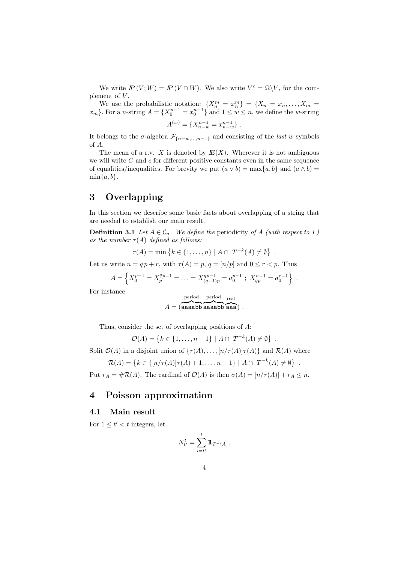We write  $I\!\!P(V;W) = I\!\!P(V \cap W)$ . We also write  $V^c = \Omega \backslash V$ , for the complement of  $V$ .

We use the probabilistic notation:  $\{X_n^m = x_n^m\} = \{X_n = x_n, \ldots, X_m =$  $x_m$ }. For a *n*-string  $A = \{X_0^{n-1} = x_0^{n-1}\}$  and  $1 \le w \le n$ , we define the *w*-string

$$
A^{(w)} = \{X_{n-w}^{n-1} = x_{n-w}^{n-1}\}.
$$

It belongs to the  $\sigma$ -algebra  $\mathcal{F}_{\{n-w,\dots,n-1\}}$  and consisting of the *last w* symbols of A.

The mean of a r.v. X is denoted by  $E(X)$ . Wherever it is not ambiguous we will write  $C$  and  $c$  for different positive constants even in the same sequence of equalities/inequalities. For brevity we put  $(a \vee b) = \max\{a, b\}$  and  $(a \wedge b) =$  $\min\{a, b\}.$ 

# 3 Overlapping

In this section we describe some basic facts about overlapping of a string that are needed to establish our main result.

**Definition 3.1** Let  $A \in \mathcal{C}_n$ . We define the periodicity of A (with respect to T) as the number  $\tau(A)$  defined as follows:

 $\tau(A) = \min \{ k \in \{1, ..., n\} \mid A \cap T^{-k}(A) \neq \emptyset \}$ .

Let us write  $n = q p + r$ , with  $\tau(A) = p$ ,  $q = [n/p]$  and  $0 \le r < p$ . Thus

$$
A = \left\{ X_0^{p-1} = X_p^{2p-1} = \ldots = X_{(q-1)p}^{qp-1} = a_0^{p-1} ; \ X_{qp}^{n-1} = a_0^{r-1} \right\} .
$$

For instance

$$
A = \overbrace{\text{(aaaabb aaaabb aaaab}}^{\text{period}} \overbrace{\text{aaa}}^{\text{rest}})
$$

Thus, consider the set of overlapping positions of A:

 $\mathcal{O}(A) = \{k \in \{1, ..., n-1\} \mid A \cap T^{-k}(A) \neq \emptyset\}.$ 

Split  $\mathcal{O}(A)$  in a disjoint union of  $\{\tau(A), \ldots, [n/\tau(A)]\tau(A)\}\$  and  $\mathcal{R}(A)$  where

$$
\mathcal{R}(A) = \{ k \in \{ [n/\tau(A)]\tau(A) + 1, \dots, n-1 \} \mid A \cap T^{-k}(A) \neq \emptyset \}
$$

.

Put  $r_A = #\mathcal{R}(A)$ . The cardinal of  $\mathcal{O}(A)$  is then  $\sigma(A) = [n/\tau(A)] + r_A \leq n$ .

## 4 Poisson approximation

### 4.1 Main result

For  $1 \leq t' < t$  integers, let

$$
N_{t'}^t = \sum_{i=t'}^t 1\!\!1_{T^{-i}A} \; .
$$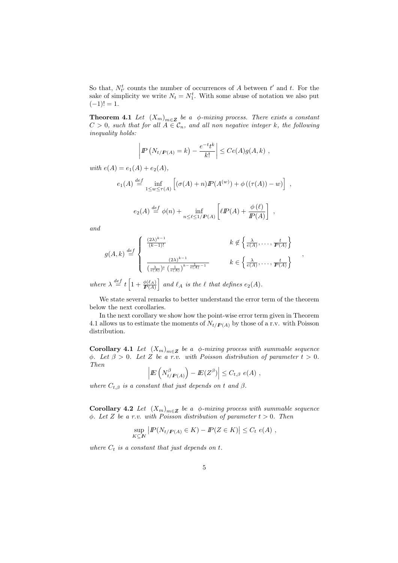So that,  $N_{t'}^t$  counts the number of occurrences of A between  $t'$  and  $t$ . For the sake of simplicity we write  $N_t = N_1^t$ . With some abuse of notation we also put  $(-1)! = 1.$ 

**Theorem 4.1** Let  $(X_m)_{m \in \mathbb{Z}}$  be a  $\phi$ -mixing process. There exists a constant  $C > 0$ , such that for all  $A \in \mathcal{C}_n$ , and all non negative integer k, the following inequality holds:

$$
\left|P\left(N_{t/F(A)}=k\right)-\frac{e^{-t}t^k}{k!}\right|\leq Ce(A)g(A,k) ,
$$

with  $e(A) = e_1(A) + e_2(A)$ ,

$$
e_1(A) \stackrel{def}{=} \inf_{1 \le w \le \tau(A)} \left[ (\sigma(A) + n) \mathbb{P}(A^{(w)}) + \phi((\tau(A)) - w) \right],
$$

$$
e_2(A) \stackrel{def}{=} \phi(n) + \inf_{n \le \ell \le 1/P(A)} \left[ \ell P(A) + \frac{\phi(\ell)}{P(A)} \right],
$$

and

$$
g(A, k) \stackrel{def}{=} \begin{cases} \frac{(2\lambda)^{k-1}}{(k-1)!} & k \notin \left\{ \frac{\lambda}{e(A)}, \dots, \frac{t}{P(A)} \right\} \\ \frac{(2\lambda)^{k-1}}{\left(\frac{\lambda}{e(A)}\right)! \left(\frac{1}{e(A)}\right)^{k-\frac{1}{e(A)}-1}} & k \in \left\{ \frac{\lambda}{e(A)}, \dots, \frac{t}{P(A)} \right\} \end{cases}
$$

where  $\lambda \stackrel{def}{=} t \left[1 + \frac{\phi(\ell_A)}{P(A)}\right]$  and  $\ell_A$  is the  $\ell$  that defines  $e_2(A)$ .

We state several remarks to better understand the error term of the theorem below the next corollaries.

In the next corollary we show how the point-wise error term given in Theorem 4.1 allows us to estimate the moments of  $N_{t/P(A)}$  by those of a r.v. with Poisson distribution.

**Corollary 4.1** Let  $(X_m)_{m \in \mathbb{Z}}$  be a  $\phi$ -mixing process with summable sequence  $\phi$ . Let  $\beta > 0$ . Let Z be a r.v. with Poisson distribution of parameter  $t > 0$ . Then

$$
\left| E\left(N_{t/P(A)}^{\beta}\right) - E(Z^{\beta}) \right| \leq C_{t,\beta} e(A) ,
$$

where  $C_{t,\beta}$  is a constant that just depends on t and  $\beta$ .

**Corollary 4.2** Let  $(X_m)_{m \in \mathbb{Z}}$  be a  $\phi$ -mixing process with summable sequence  $\phi$ . Let Z be a r.v. with Poisson distribution of parameter  $t > 0$ . Then

$$
\sup_{K \subseteq N} |P(N_{t/P(A)} \in K) - P(Z \in K)| \le C_t e(A) ,
$$

where  $C_t$  is a constant that just depends on t.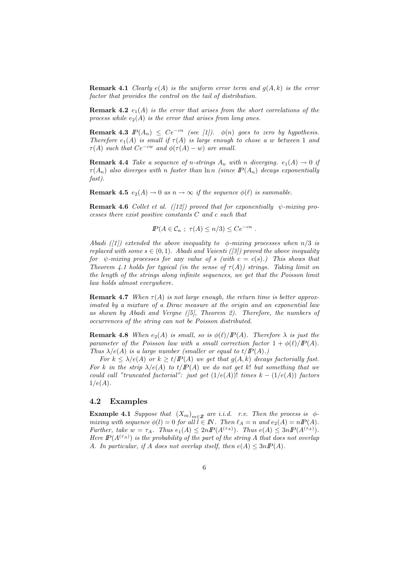**Remark 4.1** Clearly  $e(A)$  is the uniform error term and  $q(A, k)$  is the error factor that provides the control on the tail of distribution.

**Remark 4.2**  $e_1(A)$  is the error that arises from the short correlations of the process while  $e_2(A)$  is the error that arises from long ones.

**Remark 4.3**  $\mathbb{P}(A_n) \leq Ce^{-cn}$  (see [1]).  $\phi(n)$  goes to zero by hypothesis. Therefore  $e_1(A)$  is small if  $\tau(A)$  is large enough to chose a w between 1 and  $\tau(A)$  such that  $Ce^{-cw}$  and  $\phi(\tau(A) - w)$  are small.

**Remark 4.4** Take a sequence of n-strings  $A_n$  with n diverging.  $e_1(A) \rightarrow 0$  if  $\tau(A_n)$  also diverges with n faster than  $\ln n$  (since  $I\!\!P(A_n)$  decays exponentially fast).

**Remark 4.5**  $e_2(A) \to 0$  as  $n \to \infty$  if the sequence  $\phi(\ell)$  is summable.

**Remark 4.6** Collet et al. ([12]) proved that for exponentially  $\psi$ -mixing processes there exist positive constants C and c such that

$$
I\!\!P(A \in \mathcal{C}_n ; \tau(A) \leq n/3) \leq Ce^{-cn}.
$$

Abadi ([1]) extended the above inequality to  $\phi$ -mixing processes when  $n/3$  is replaced with some  $s \in (0,1)$ . Abadi and Vaienti ([3]) proved the above inequality for  $\psi$ -mixing processes for any value of s (with  $c = c(s)$ .) This shows that Theorem 4.1 holds for typical (in the sense of  $\tau(A)$ ) strings. Taking limit on the length of the strings along infinite sequences, we get that the Poisson limit law holds almost everywhere.

**Remark 4.7** When  $\tau(A)$  is not large enough, the return time is better approximated by a mixture of a Dirac measure at the origin and an exponential law as shown by Abadi and Vergne  $([5]$ . Theorem 2). Therefore, the numbers of occurrences of the string can not be Poisson distributed.

**Remark 4.8** When  $e_2(A)$  is small, so is  $\phi(\ell)/P(A)$ . Therefore  $\lambda$  is just the parameter of the Poisson law with a small correction factor  $1 + \phi(\ell)/I\!\!P(A)$ . Thus  $\lambda/e(A)$  is a large number (smaller or equal to  $t/P(A)$ .)

For  $k \leq \lambda/e(A)$  or  $k \geq t/IP(A)$  we get that  $g(A, k)$  decays factorially fast. For k in the strip  $\lambda/e(A)$  to  $t/P(A)$  we do not get k! but something that we could call "truncated factorial": just get  $(1/e(A))$ ! times  $k - (1/e(A))$  factors  $1/e(A)$ .

#### 4.2 Examples

**Example 4.1** Suppose that  $(X_m)_{m \in \mathbb{Z}}$  are i.i.d. r.v. Then the process is  $\phi$ mixing with sequence  $\phi(l) = 0$  for all  $\tilde{l} \in \mathbb{N}$ . Then  $\ell_A = n$  and  $e_2(A) = nI\!\!P(A)$ . Further, take  $w = \tau_A$ . Thus  $e_1(A) \leq 2n P(A^{(\tau_A)})$ . Thus  $e(A) \leq 3n P(A^{(\tau_A)})$ . Here  $I\!P(A^{(\tau_A)})$  is the probability of the part of the string A that does not overlap A. In particular, if A does not overlap itself, then  $e(A) \leq 3nP(A)$ .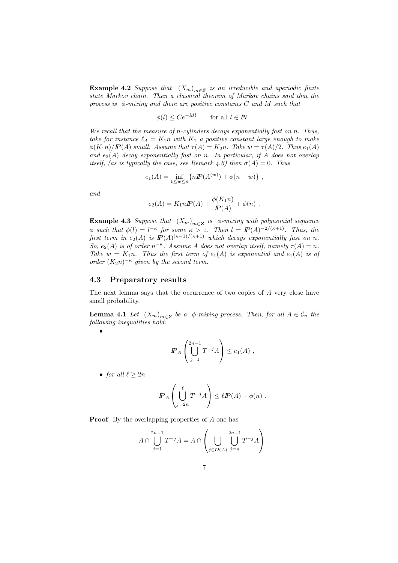**Example 4.2** Suppose that  $(X_m)_{m \in \mathbb{Z}}$  is an irreducible and aperiodic finite state Markov chain. Then a classical theorem of Markov chains said that the process is  $\phi$ -mixing and there are positive constants C and M such that

$$
\phi(l) \le Ce^{-Ml} \qquad \text{for all } l \in I\!\!N \ .
$$

We recall that the measure of n-cylinders decays exponentially fast on n. Thus, take for instance  $\ell_A = K_1 n$  with  $K_1$  a positive constant large enough to make  $\phi(K_1n)/P(A)$  small. Assume that  $\tau(A) = K_2n$ . Take  $w = \tau(A)/2$ . Thus  $e_1(A)$ and  $e_2(A)$  decay exponentially fast on n. In particular, if A does not overlap itself, (as is typically the case, see Remark 4.6) then  $\sigma(A) = 0$ . Thus

$$
e_1(A) = \inf_{1 \le w \le n} \{ n P(A^{(w)}) + \phi(n - w) \},
$$

and

$$
e_2(A) = K_1 n I\!\!P(A) + \frac{\phi(K_1 n)}{I\!\!P(A)} + \phi(n) .
$$

**Example 4.3** Suppose that  $(X_m)_{m \in \mathbb{Z}}$  is  $\phi$ -mixing with polynomial sequence  $\phi$  such that  $\phi(l) = l^{-\kappa}$  for some  $\kappa > 1$ . Then  $l = I\!P(A)^{-2/(\kappa+1)}$ . Thus, the first term in  $e_2(A)$  is  $I\!\!P(A)^{(\kappa-1)/(\kappa+1)}$  which decays exponentially fast on n. So,  $e_2(A)$  is of order  $n^{-\kappa}$ . Assume A does not overlap itself, namely  $\tau(A) = n$ . Take  $w = K_1n$ . Thus the first term of  $e_1(A)$  is exponential and  $e_1(A)$  is of order  $(K_2n)^{-\kappa}$  given by the second term.

#### 4.3 Preparatory results

The next lemma says that the occurrence of two copies of A very close have small probability.

**Lemma 4.1** Let  $(X_m)_{m \in \mathbb{Z}}$  be a  $\phi$ -mixing process. Then, for all  $A \in \mathcal{C}_n$  the following inequalities hold:

$$
\bullet
$$

$$
I\!\!P_A \left( \bigcup_{j=1}^{2n-1} T^{-j} A \right) \le e_1(A) ,
$$

• for all  $\ell \geq 2n$ 

$$
I\!\!P_A\left(\bigcup_{j=2n}^\ell T^{-j}A\right) \leq \ell I\!\!P(A) + \phi(n) .
$$

Proof By the overlapping properties of A one has

$$
A \cap \bigcup_{j=1}^{2n-1} T^{-j} A = A \cap \left( \bigcup_{j \in \mathcal{O}(A)} \bigcup_{j=n}^{2n-1} T^{-j} A \right) .
$$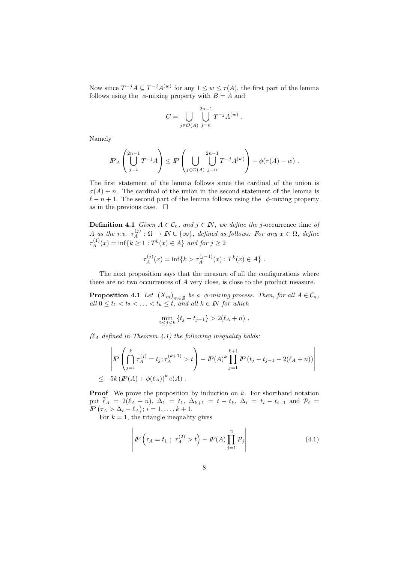Now since  $T^{-j}A \subseteq T^{-j}A^{(w)}$  for any  $1 \leq w \leq \tau(A)$ , the first part of the lemma follows using the  $\phi$ -mixing property with  $B = A$  and

$$
C = \bigcup_{j \in \mathcal{O}(A)} \bigcup_{j=n}^{2n-1} T^{-j} A^{(w)}
$$

.

Namely

$$
I\!\!P_A\left(\bigcup_{j=1}^{2n-1}T^{-j}A\right) \leq I\!\!P\left(\bigcup_{j\in\mathcal{O}(A)}\bigcup_{j=n}^{2n-1}T^{-j}A^{(w)}\right) + \phi(\tau(A)-w) .
$$

The first statement of the lemma follows since the cardinal of the union is  $\sigma(A) + n$ . The cardinal of the union in the second statement of the lemma is  $\ell - n + 1$ . The second part of the lemma follows using the  $\phi$ -mixing property as in the previous case.  $\Box$ 

**Definition 4.1** Given  $A \in \mathcal{C}_n$ , and  $j \in \mathbb{N}$ , we define the j-occurrence time of A as the r.v.  $\tau_A^{(j)} : \Omega \to \mathbb{N} \cup \{\infty\}$ , defined as follows: For any  $x \in \Omega$ , define  $\tau_A^{(1)}(x) = \inf\{k \ge 1 : T^k(x) \in A\}$  and for  $j \ge 2$ 

$$
\tau_A^{(j)}(x) = \inf\{k > \tau_A^{(j-1)}(x) : T^k(x) \in A\} .
$$

The next proposition says that the measure of all the configurations where there are no two occurrences of A very close, is close to the product measure.

**Proposition 4.1** Let  $(X_m)_{m \in \mathbb{Z}}$  be a  $\phi$ -mixing process. Then, for all  $A \in \mathcal{C}_n$ , all  $0 \le t_1 < t_2 < \ldots < t_k \le t$ , and all  $k \in \mathbb{N}$  for which

$$
\min_{2 \le j \le k} \{ t_j - t_{j-1} \} > 2(\ell_A + n) ,
$$

 $(\ell_A \ defined \ in \ Theorem 4.1)$  the following inequality holds:

$$
\left| \mathbb{P} \left( \bigcap_{j=1}^{k} \tau_{A}^{(j)} = t_j; \tau_{A}^{(k+1)} > t \right) - \mathbb{P}(A)^{k} \prod_{j=1}^{k+1} \mathbb{P} \left( t_j - t_{j-1} - 2(\ell_A + n) \right) \right|
$$
  
\n
$$
\leq 5k \left( \mathbb{P}(A) + \phi(\ell_A) \right)^{k} e(A) .
$$

**Proof** We prove the proposition by induction on  $k$ . For shorthand notation put  $\bar{\ell}_A = 2(\ell_A + n), \ \Delta_1 = t_1, \ \Delta_{k+1} = t - t_k, \ \Delta_i = t_i - t_{i-1}$  and  $\mathcal{P}_i =$  $I\!\!P\big(\tau_A > \Delta_i - \overline{\ell}_A\big); i = 1, \ldots, k+1.$ 

For  $k = 1$ , the triangle inequality gives

$$
\left| I\!\!P \left( \tau_A = t_1 \; ; \; \tau_A^{(2)} > t \right) - I\!\!P(A) \prod_{j=1}^2 \mathcal{P}_j \right| \tag{4.1}
$$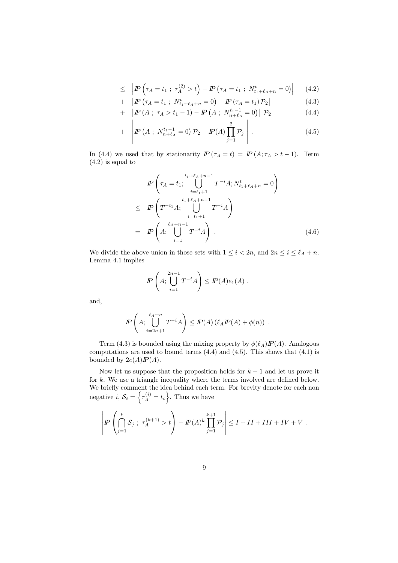$$
\leq \left| \mathbb{P} \left( \tau_A = t_1 \; ; \; \tau_A^{(2)} > t \right) - \mathbb{P} \left( \tau_A = t_1 \; ; \; N_{t_1 + \ell_A + n}^t = 0 \right) \right| \tag{4.2}
$$

+ 
$$
|I\!P(\tau_A = t_1 ; N^t_{t_1 + \ell_A + n} = 0) - I\!P(\tau_A = t_1) \mathcal{P}_2|
$$
 (4.3)

+ 
$$
|I\!P(A; \tau_A > t_1 - 1) - I\!P(A; N_{n+\ell_A}^{t_1-1} = 0)| \mathcal{P}_2
$$
 (4.4)

+ 
$$
\left| I\!\!P \left( A; N_{n+\ell_A}^{t_1-1} = 0 \right) \mathcal{P}_2 - I\!\!P(A) \prod_{j=1}^2 \mathcal{P}_j \right|.
$$
 (4.5)

In (4.4) we used that by stationarity  $IP(\tau_A = t) = IP(A; \tau_A > t-1)$ . Term (4.2) is equal to

$$
I\!\!P\left(\tau_A = t_1; \bigcup_{i=t_1+1}^{t_1+\ell_A+n-1} T^{-i} A; N^t_{t_1+\ell_A+n} = 0\right)
$$
  
\n
$$
\leq I\!\!P\left(T^{-t_1} A; \bigcup_{i=t_1+1}^{t_1+\ell_A+n-1} T^{-i} A\right)
$$
  
\n
$$
= I\!\!P\left(A; \bigcup_{i=1}^{\ell_A+n-1} T^{-i} A\right).
$$
\n(4.6)

We divide the above union in those sets with  $1 \leq i < 2n$ , and  $2n \leq i \leq \ell_A + n$ . Lemma 4.1 implies

$$
I\!\!P\left(A; \bigcup_{i=1}^{2n-1} T^{-i} A\right) \leq I\!\!P(A) e_1(A) .
$$

and,

$$
I\!\!P\left(A; \bigcup_{i=2n+1}^{\ell_A+n} T^{-i} A\right) \leq I\!\!P(A) \left(\ell_A I\!\!P(A) + \phi(n)\right) .
$$

Term (4.3) is bounded using the mixing property by  $\phi(\ell_A)P(A)$ . Analogous computations are used to bound terms  $(4.4)$  and  $(4.5)$ . This shows that  $(4.1)$  is bounded by  $2e(A)IP(A)$ .

Now let us suppose that the proposition holds for  $k-1$  and let us prove it for k. We use a triangle inequality where the terms involved are defined below. We briefly comment the idea behind each term. For brevity denote for each non negative  $i, \mathcal{S}_i = \left\{ \tau_A^{(i)} = t_i \right\}$ . Thus we have

$$
\left| I\!\!P \left( \bigcap_{j=1}^k \mathcal{S}_j \; ; \; \tau_A^{(k+1)} > t \right) - I\!\!P(A)^k \prod_{j=1}^{k+1} \mathcal{P}_j \right| \leq I + II + III + IV + V \; .
$$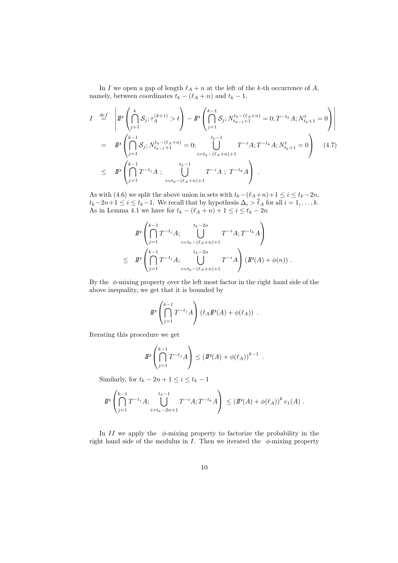In I we open a gap of length  $\ell_A + n$  at the left of the k-th occurrence of A, namely, between coordinates  $t_k - (\ell_A + n)$  and  $t_k - 1.$ 

$$
I \stackrel{def}{=} \left| P\left(\bigcap_{j=1}^{k} S_j; \tau_A^{(k+1)} > t\right) - P\left(\bigcap_{j=1}^{k-1} S_j; N_{t_{k-1}+1}^{t_k - (\ell_A + n)} = 0; T^{-t_k} A; N_{t_k+1}^t = 0\right) \right|
$$
  
\n
$$
= P\left(\bigcap_{j=1}^{k-1} S_j; N_{t_{k-1}+1}^{t_k - (\ell_A + n)} = 0; \bigcup_{i=t_k - (\ell_A + n) + 1}^{t_k - 1} T^{-i} A; T^{-t_k} A; N_{t_k+1}^t = 0\right) \quad (4.7)
$$
  
\n
$$
\leq P\left(\bigcap_{j=1}^{k-1} T^{-t_j} A; \bigcup_{i=t_k - (\ell_A + n) + 1}^{t_k - 1} T^{-i} A; T^{-t_k} A\right).
$$

As with (4.6) we split the above union in sets with  $t_k-(\ell_A +n)+1 \leq i \leq t_k-2n$ ,  $t_k-2n+1 \leq i \leq t_k-1$ . We recall that by hypothesis  $\Delta_i > \ell_A$  for all  $i = 1, \ldots, k$ . As in Lemma 4.1 we have for  $t_k - (\ell_A + n) + 1 \leq i \leq t_k - 2n$ 

$$
I\!\!P\left(\bigcap_{j=1}^{k-1}T^{-t_j}A; \bigcup_{i=t_k-(\ell_A+n)+1}^{t_k-2n}T^{-i}A;T^{-t_k}A\right)
$$
  

$$
\leq I\!\!P\left(\bigcap_{j=1}^{k-1}T^{-t_j}A; \bigcup_{i=t_k-(\ell_A+n)+1}^{t_k-2n}T^{-i}A\right)(I\!\!P(A)+\phi(n)) .
$$

By the  $\phi$ -mixing property over the left most factor in the right hand side of the above inequality, we get that it is bounded by

$$
I\!\!P\left(\bigcap_{j=1}^{k-1}T^{-t_j}A\right)(\ell_A I\!\!P(A)+\phi(\ell_A))\ .
$$

Iterating this procedure we get

$$
I\!\!P\left(\bigcap_{j=1}^{k-1} T^{-t_j} A\right) \le (I\!\!P(A) + \phi(\ell_A))^{k-1} .
$$

Similarly, for  $t_k - 2n + 1 \leq i \leq t_k - 1$ 

$$
I\!\!P\left(\bigcap_{j=1}^{k-1}T^{-t_j}A; \bigcup_{i=t_k-2n+1}^{t_k-1}T^{-i}A; T^{-t_k}A\right) \leq (I\!\!P(A) + \phi(\ell_A))^k e_1(A) .
$$

In  $II$  we apply the  $\phi$ -mixing property to factorize the probability in the right hand side of the modulus in I. Then we iterated the  $\phi$ -mixing property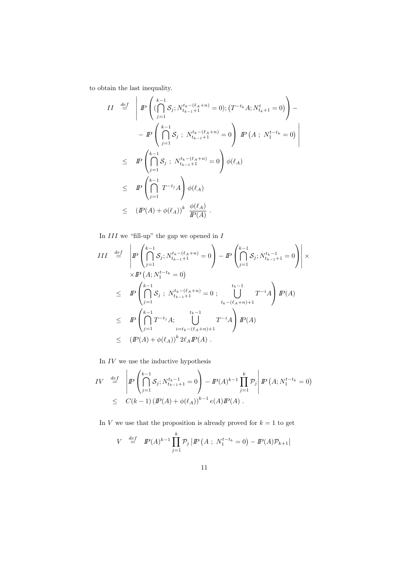to obtain the last inequality.

$$
II \stackrel{def}{=} \left| P\left( (\bigcap_{j=1}^{k-1} S_j; N_{t_{k-1}+1}^{t_k - (\ell_A + n)} = 0); (T^{-t_k} A; N_{t_k+1}^t = 0) \right) -
$$
  

$$
- P\left( \bigcap_{j=1}^{k-1} S_j; N_{t_{k-1}+1}^{t_k - (\ell_A + n)} = 0 \right) P\left( A; N_1^{t-t_k} = 0 \right) \right|
$$
  

$$
\leq P\left( \bigcap_{j=1}^{k-1} S_j; N_{t_{k-1}+1}^{t_k - (\ell_A + n)} = 0 \right) \phi(\ell_A)
$$
  

$$
\leq P\left( \bigcap_{j=1}^{k-1} T^{-t_j} A \right) \phi(\ell_A)
$$
  

$$
\leq (P(A) + \phi(\ell_A))^k \frac{\phi(\ell_A)}{P(A)}.
$$

In  $III$  we "fill-up" the gap we opened in  $I$ 

$$
III \stackrel{def}{=} \left| P \left( \bigcap_{j=1}^{k-1} S_j; N_{t_{k-1}+1}^{t_k - (\ell_A + n)} = 0 \right) - P \left( \bigcap_{j=1}^{k-1} S_j; N_{t_{k-1}+1}^{t_k - 1} = 0 \right) \right| \times
$$
  
\n
$$
\times P \left( A; N_1^{t-t_k} = 0 \right)
$$
  
\n
$$
\leq P \left( \bigcap_{j=1}^{k-1} S_j; N_{t_{k-1}+1}^{t_k - (\ell_A + n)} = 0; \bigcup_{t_k - (\ell_A + n) + 1}^{t_k - 1} T^{-i} A \right) P(A)
$$
  
\n
$$
\leq P \left( \bigcap_{j=1}^{k-1} T^{-t_j} A; \bigcup_{i=t_k - (\ell_A + n) + 1}^{t_k - 1} T^{-i} A \right) P(A)
$$
  
\n
$$
\leq (P(A) + \phi(\ell_A))^k 2\ell_A P(A).
$$

In  $IV$  we use the inductive hypothesis

$$
IV \stackrel{def}{=} \left| P\left(\bigcap_{j=1}^{k-1} S_j; N_{t_{k-1}+1}^{t_{k-1}} = 0 \right) - P(A)^{k-1} \prod_{j=1}^{k} \mathcal{P}_j \right| P\left(A; N_1^{t-t_k} = 0\right)
$$
  
\$\leq C(k-1) \left( P(A) + \phi(\ell\_A) \right)^{k-1} e(A) P(A) .

In  $V$  we use that the proposition is already proved for  $k = 1$  to get

$$
V \stackrel{def}{=} \mathbb{P}(A)^{k-1} \prod_{j=1}^{k} \mathcal{P}_j \left| \mathbb{P} \left( A \; ; \; N_1^{t-t_k} = 0 \right) - \mathbb{P}(A) \mathcal{P}_{k+1} \right|
$$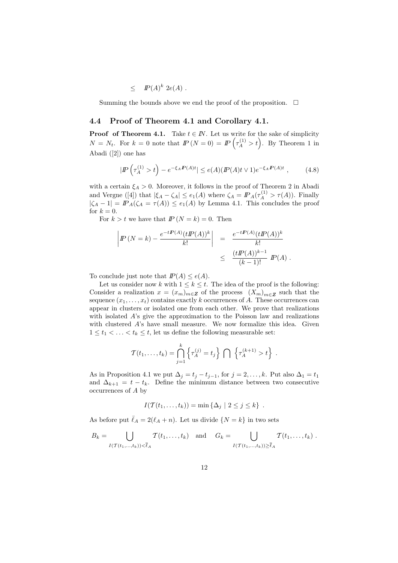$$
\leq P(A)^k 2e(A).
$$

Summing the bounds above we end the proof of the proposition.  $\Box$ 

#### 4.4 Proof of Theorem 4.1 and Corollary 4.1.

**Proof of Theorem 4.1.** Take  $t \in \mathbb{N}$ . Let us write for the sake of simplicity  $N = N_t$ . For  $k = 0$  note that  $IP(N = 0) = IP\left(\tau_A^{(1)} > t\right)$ . By Theorem 1 in Abadi ([2]) one has

$$
|I\!\!P\left(\tau_A^{(1)} > t\right) - e^{-\xi_A P(A)t}| \le e(A)(P(A)t \vee 1)e^{-\xi_A P(A)t}, \qquad (4.8)
$$

with a certain  $\xi_A > 0$ . Moreover, it follows in the proof of Theorem 2 in Abadi and Vergne ([4]) that  $|\xi_A - \zeta_A| \le e_1(A)$  where  $\zeta_A = \mathbb{P}_A(\tau_A^{(1)} > \tau(A))$ . Finally  $|\zeta_A - 1| = \mathbb{P}_A(\zeta_A = \tau(A)) \le e_1(A)$  by Lemma 4.1. This concludes the proof for  $k = 0$ .

For  $k > t$  we have that  $IP(N = k) = 0$ . Then

$$
\left| P (N = k) - \frac{e^{-t P(A)} (t P(A))^k}{k!} \right| = \frac{e^{-t P(A)} (t P(A))^k}{k!} \n\leq \frac{(t P(A))^{k-1}}{(k-1)!} P(A).
$$

To conclude just note that  $I\!\!P(A) \leq e(A)$ .

Let us consider now k with  $1 \leq k \leq t$ . The idea of the proof is the following: Consider a realization  $x = (x_m)_{m \in \mathbb{Z}}$  of the process  $(X_m)_{m \in \mathbb{Z}}$  such that the sequence  $(x_1, \ldots, x_t)$  contains exactly k occurrences of A. These occurrences can appear in clusters or isolated one from each other. We prove that realizations with isolated A's give the approximation to the Poisson law and realizations with clustered A's have small measure. We now formalize this idea. Given  $1 \leq t_1 < \ldots < t_k \leq t$ , let us define the following measurable set:

$$
\mathcal{T}(t_1,\ldots,t_k)=\bigcap_{j=1}^k\left\{\tau_A^{(j)}=t_j\right\}\ \bigcap\ \left\{\tau_A^{(k+1)}>t\right\}\ .
$$

As in Proposition 4.1 we put  $\Delta_j = t_j - t_{j-1}$ , for  $j = 2, ..., k$ . Put also  $\Delta_1 = t_1$ and  $\Delta_{k+1} = t - t_k$ . Define the minimum distance between two consecutive occurrences of A by

$$
I(\mathcal{T}(t_1,\ldots,t_k)) = \min\left\{\Delta_j \mid 2 \leq j \leq k\right\}.
$$

As before put  $\bar{\ell}_A = 2(\ell_A + n)$ . Let us divide  $\{N = k\}$  in two sets

$$
B_k=\bigcup_{I(\mathcal{T}(t_1,...,t_k))<\bar{\ell}_A}\mathcal{T}(t_1,...,t_k)\quad\text{and}\quad G_k=\bigcup_{I(\mathcal{T}(t_1,...,t_k))\geq\bar{\ell}_A}\mathcal{T}(t_1,...,t_k).
$$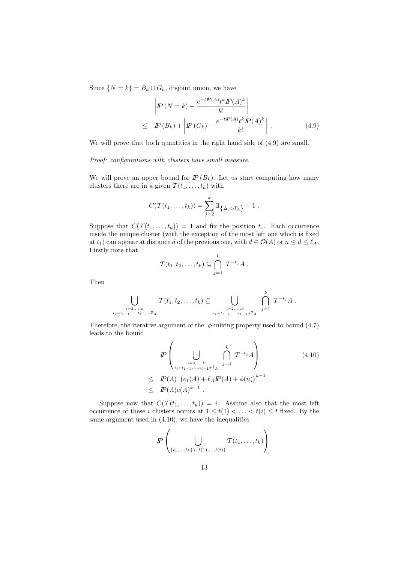Since  $\{N = k\} = B_k \cup G_k$ , disjoint union, we have

$$
\left| P\left(N=k\right) - \frac{e^{-tP(A)tk}P(A)^k}{k!} \right|
$$
\n
$$
\leq P\left(B_k\right) + \left| P\left(G_k\right) - \frac{e^{-tP(A)tk}P(A)^k}{k!} \right| . \tag{4.9}
$$

We will prove that both quantities in the right hand side of  $(4.9)$  are small.

Proof: configurations with clusters have small measure.

We will prove an upper bound for  $I\!\!P (B_k)$ . Let us start computing how many clusters there are in a given  $\mathcal{T}(t_1,\ldots,t_k)$  with

$$
C(\mathcal{T}(t_1,\ldots,t_k))=\sum_{j=2}^k1\!\!1_{\{\Delta_j>\bar{\ell}_A\}}+1.
$$

Suppose that  $C(\mathcal{T}(t_1,\ldots,t_k)) = 1$  and fix the position  $t_1$ . Each occurrence inside the unique cluster (with the exception of the most left one which is fixed at  $t_1$ ) can appear at distance d of the previous one, with  $d \in \mathcal{O}(A)$  or  $n \leq d \leq \overline{\ell}_A$ . Firstly note that

$$
\mathcal{T}(t_1, t_2, \ldots, t_k) \subseteq \bigcap_{j=1}^k T^{-t_j} A.
$$

Then

$$
\bigcup_{\substack{i=2,\ldots,k \\ t_i=t_{i-1},\ldots,t_{i-1}+\bar{\ell}_A}} \mathcal{T}(t_1,t_2,\ldots,t_k) \subseteq \bigcup_{\substack{i=2,\ldots,k \\ t_i=t_{i-1},\ldots,t_{i-1}+\bar{\ell}_A}} \bigcap_{j=1}^k T^{-t_j} A.
$$

Therefore, the iterative argument of the  $\phi$ -mixing property used to bound (4.7) leads to the bound

$$
I\!\!P\left(\bigcup_{\substack{i=2,\ldots,k\\i_{t_i}=t_{i-1},\ldots,t_{i-1}+\bar{\ell}_A}}\bigcap_{j=1}^k T^{-t_j}A\right) \tag{4.10}
$$
  

$$
\leq I\!\!P(A) \left(e_1(A) + \bar{\ell}_A I\!\!P(A) + \phi(n)\right)^{k-1}
$$
  

$$
\leq I\!\!P(A)e(A)^{k-1}.
$$

Suppose now that  $C(\mathcal{T}(t_1,\ldots,t_k)) = i$ . Assume also that the most left occurrence of these i clusters occurs at  $1 \leq t(1) < \ldots < t(i) \leq t$  fixed. By the same argument used in (4.10), we have the inequalities

$$
I\!\!P \left( \bigcup_{\{t_1,\ldots,t_k\} \setminus \{t(1),\ldots,t(i)\}} T(t_1,\ldots,t_k) \right)
$$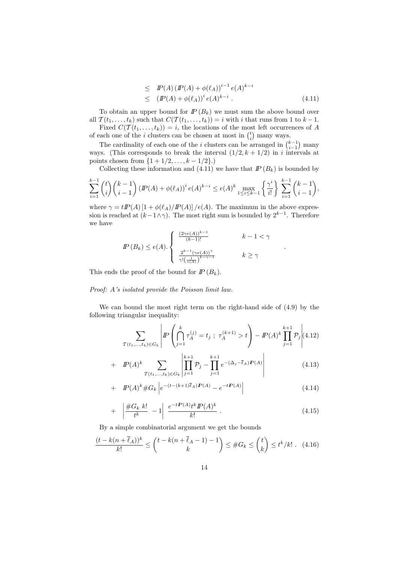$$
\leq \quad P(A) \left( P(A) + \phi(\ell_A) \right)^{i-1} e(A)^{k-i} \leq \quad (P(A) + \phi(\ell_A))^i e(A)^{k-i} . \tag{4.11}
$$

To obtain an upper bound for  $I\!\!P (B_k)$  we must sum the above bound over all  $\mathcal{T}(t_1,\ldots,t_k)$  such that  $C(\mathcal{T}(t_1,\ldots,t_k))=i$  with i that runs from 1 to  $k-1$ . Fixed  $C(\mathcal{T}(t_1,\ldots,t_k))=i$ , the locations of the most left occurrences of A

of each one of the *i* clusters can be chosen at most in  $\binom{t}{i}$  many ways.

The cardinality of each one of the *i* clusters can be arranged in  $\binom{k-1}{i-1}$  many ways. (This corresponds to break the interval  $(1/2, k + 1/2)$  in i intervals at points chosen from  $\{1 + 1/2, \ldots, k - 1/2\}$ .)

Collecting these information and (4.11) we have that  $I\!\!P (B_k)$  is bounded by

$$
\sum_{i=1}^{k-1} {t \choose i} {k-1 \choose i-1} (I\!\!P(A) + \phi(\ell_A))^i e(A)^{k-i} \le e(A)^k \max_{1 \le i \le k-1} \left\{ \frac{\gamma^i}{i!} \right\} \sum_{i=1}^{k-1} {k-1 \choose i-1},
$$

where  $\gamma = t P(A) [1 + \phi(\ell_A)/P(A)] / e(A)$ . The maximum in the above expression is reached at  $(k-1\land \gamma)$ . The most right sum is bounded by  $2^{k-1}$ . Therefore we have

$$
I\!\!P(B_k) \le e(A) \cdot \begin{cases} \frac{(2\gamma e(A))^{k-1}}{(k-1)!} & k-1 < \gamma \\ \frac{2^{k-1}(\gamma e(A))^{\gamma}}{\gamma! \left(\frac{1}{e(A)}\right)^{k-\gamma-1}} & k \ge \gamma \end{cases}
$$

This ends the proof of the bound for  $I\!\!P(B_k)$ .

#### Proof: A's isolated provide the Poisson limit law.

We can bound the most right term on the right-hand side of (4.9) by the following triangular inequality:

$$
\sum_{\mathcal{T}(t_1,\ldots,t_k)\in G_k} \left| I\!\!P \left( \bigcap_{j=1}^k \tau_A^{(j)} = t_j \; ; \; \tau_A^{(k+1)} > t \right) - I\!\!P(A)^k \prod_{j=1}^{k+1} \mathcal{P}_j \right| \tag{4.12}
$$

.

+ 
$$
\mathbb{P}(A)^k \sum_{\mathcal{T}(t_1,...,t_k)\in G_k} \left| \prod_{j=1}^{k+1} \mathcal{P}_j - \prod_{j=1}^{k+1} e^{-(\Delta_j - \bar{\ell}_A)\mathcal{P}(A)} \right|
$$
 (4.13)

+ 
$$
\mathbb{P}(A)^k \# G_k \left| e^{-(t - (k+1)\overline{\ell}_A)\mathbb{P}(A)} - e^{-t\mathbb{P}(A)} \right|
$$
 (4.14)

$$
+ \left| \frac{\#G_k \ k!}{t^k} - 1 \right| \frac{e^{-tP(A)}t^k P(A)^k}{k!} \ . \tag{4.15}
$$

By a simple combinatorial argument we get the bounds

$$
\frac{(t-k(n+\overline{\ell}_A))^k}{k!} \le \binom{t-k(n+\overline{\ell}_A-1)-1}{k} \le \#G_k \le \binom{t}{k} \le t^k/k! \tag{4.16}
$$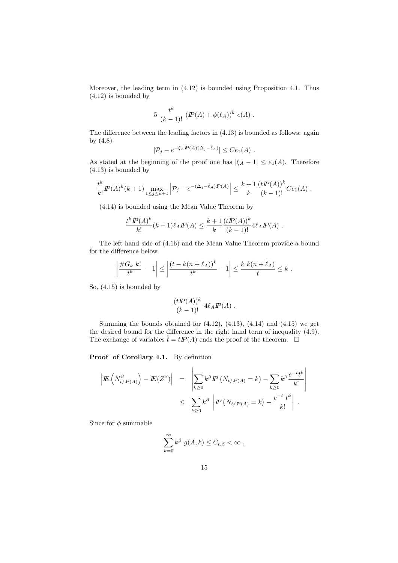Moreover, the leading term in (4.12) is bounded using Proposition 4.1. Thus (4.12) is bounded by

$$
5 \frac{t^k}{(k-1)!} (P(A) + \phi(\ell_A))^k e(A) .
$$

The difference between the leading factors in (4.13) is bounded as follows: again by (4.8)

$$
|\mathcal{P}_j - e^{-\xi_A \mathbf{P}(A)(\Delta_j - \bar{\ell}_A)}| \leq Ce_1(A) .
$$

As stated at the beginning of the proof one has  $|\xi_A - 1| \le e_1(A)$ . Therefore (4.13) is bounded by

$$
\frac{t^k}{k!} I\!\!P(A)^k(k+1) \max_{1 \le j \le k+1} \left| \mathcal{P}_j - e^{-(\Delta_j - \bar{\ell}_A) I\!\!P(A)} \right| \le \frac{k+1}{k} \frac{(t I\!\!P(A))^k}{(k-1)!} C e_1(A) .
$$

(4.14) is bounded using the Mean Value Theorem by

$$
\frac{t^k I\!\!P(A)^k}{k!} (k+1)\overline{\ell}_A I\!\!P(A) \le \frac{k+1}{k} \frac{(tI\!\!P(A))^k}{(k-1)!} 4\ell_A I\!\!P(A) .
$$

The left hand side of (4.16) and the Mean Value Theorem provide a bound for the difference below

$$
\left|\frac{\#G_k k!}{t^k} - 1\right| \le \left|\frac{(t - k(n + \overline{\ell}_A))^k}{t^k} - 1\right| \le \frac{k k(n + \overline{\ell}_A)}{t} \le k.
$$

So, (4.15) is bounded by

$$
\frac{(tP(A))^{k}}{(k-1)!} 4\ell_A P(A) .
$$

Summing the bounds obtained for  $(4.12)$ ,  $(4.13)$ ,  $(4.14)$  and  $(4.15)$  we get the desired bound for the difference in the right hand term of inequality (4.9). The exchange of variables  $\tilde{t} = tI\!P(A)$  ends the proof of the theorem.  $\Box$ 

Proof of Corollary 4.1. By definition

$$
\left| E\left(N_{t/F(A)}^{\beta}\right) - E(Z^{\beta}) \right| = \left| \sum_{k \geq 0} k^{\beta} P\left(N_{t/F(A)} = k\right) - \sum_{k \geq 0} k^{\beta} \frac{e^{-t} t^k}{k!} \right|
$$
  

$$
\leq \sum_{k \geq 0} k^{\beta} \left| P\left(N_{t/F(A)} = k\right) - \frac{e^{-t} t^k}{k!} \right|.
$$

Since for  $\phi$  summable

$$
\sum_{k=0}^{\infty} k^{\beta} g(A, k) \leq C_{t,\beta} < \infty ,
$$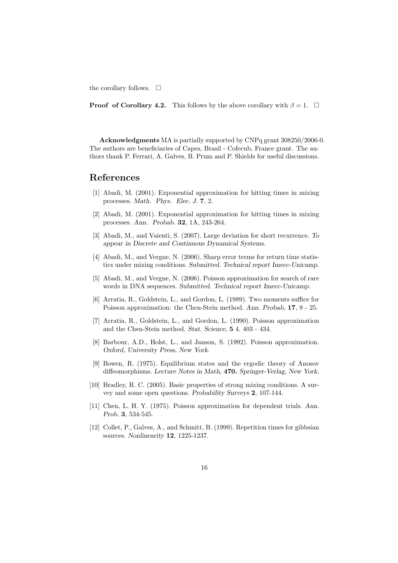the corollary follows.  $\square$ 

**Proof of Corollary 4.2.** This follows by the above corollary with  $\beta = 1$ .  $\Box$ 

Acknowledgments MA is partially supported by CNPq grant 308250/2006-0. The authors are beneficiaries of Capes, Brasil - Cofecub, France grant. The authors thank P. Ferrari, A. Galves, B. Prum and P. Shields for useful discussions.

## References

- [1] Abadi, M. (2001). Exponential approximation for hitting times in mixing processes. Math. Phys. Elec. J. 7, 2.
- [2] Abadi, M. (2001). Exponential approximation for hitting times in mixing processes. Ann. Probab. 32, 1A, 243-264.
- [3] Abadi, M., and Vaienti, S. (2007). Large deviation for short recurrence. To appear in Discrete and Continuous Dynamical Systems.
- [4] Abadi, M., and Vergne, N. (2006). Sharp error terms for return time statistics under mixing conditions. Submitted. Technical report Imecc-Unicamp.
- [5] Abadi, M., and Vergne, N. (2006). Poisson approximation for search of rare words in DNA sequences. Submitted. Technical report Imecc-Unicamp.
- [6] Arratia, R., Goldstein, L., and Gordon, L. (1989). Two moments suffice for Poisson approximation: the Chen-Stein method. Ann. Probab, 17, 9 - 25.
- [7] Arratia, R., Goldstein, L., and Gordon, L. (1990). Poisson approximation and the Chen-Stein method. Stat. Science, 5 4. 403 - 434.
- [8] Barbour, A.D., Holst, L., and Janson, S. (1992). Poisson approximation. Oxford, University Press, New York.
- [9] Bowen, R. (1975). Equilibrium states and the ergodic theory of Anosov diffeomorphisms. Lecture Notes in Math, 470. Springer-Verlag, New York.
- [10] Bradley, R. C. (2005). Basic properties of strong mixing conditions. A survey and some open questions. Probability Surveys 2, 107-144.
- [11] Chen, L. H. Y. (1975). Poisson approximation for dependent trials. Ann. Prob. 3, 534-545.
- [12] Collet, P., Galves, A., and Schmitt, B. (1999). Repetition times for gibbsian sources. Nonlinearity 12, 1225-1237.